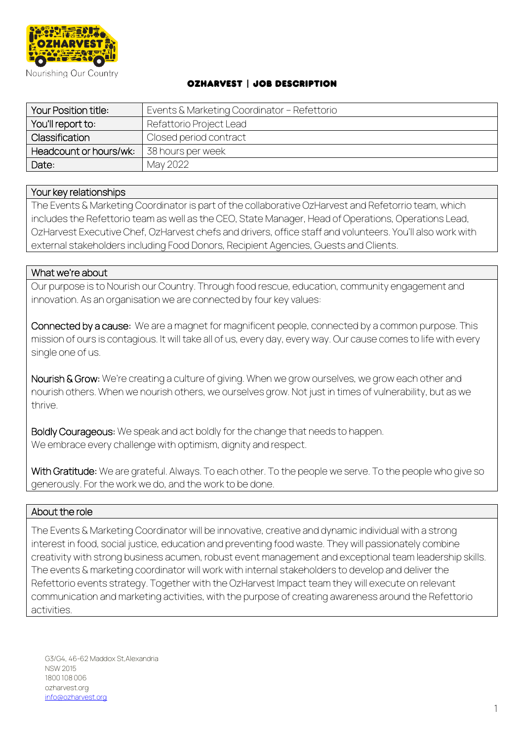

## OzHarvest | Job Description

| Your Position title:   | Events & Marketing Coordinator - Refettorio |
|------------------------|---------------------------------------------|
| You'll report to:      | Refattorio Project Lead                     |
| Classification         | Closed period contract                      |
| Headcount or hours/wk: | 38 hours per week                           |
| Date:                  | May 2022                                    |

### Your key relationships

The Events & Marketing Coordinator is part of the collaborative OzHarvest and Refetorrio team, which includes the Refettorio team as well as the CEO, State Manager, Head of Operations, Operations Lead, OzHarvest Executive Chef, OzHarvest chefs and drivers, office staff and volunteers. You'll also work with external stakeholders including Food Donors, Recipient Agencies, Guests and Clients.

#### What we're about

Our purpose is to Nourish our Country. Through food rescue, education, community engagement and innovation. As an organisation we are connected by four key values:

Connected by a cause: We are a magnet for magnificent people, connected by a common purpose. This mission of ours is contagious. It will take all of us, every day, every way. Our cause comes to life with every single one of us.

Nourish & Grow: We're creating a culture of giving. When we grow ourselves, we grow each other and nourish others. When we nourish others, we ourselves grow. Not just in times of vulnerability, but as we thrive.

Boldly Courageous: We speak and act boldly for the change that needs to happen. We embrace every challenge with optimism, dignity and respect.

With Gratitude: We are grateful. Always. To each other. To the people we serve. To the people who give so generously. For the work we do, and the work to be done.

### About the role

The Events & Marketing Coordinator will be innovative, creative and dynamic individual with a strong interest in food, social justice, education and preventing food waste. They will passionately combine creativity with strong business acumen, robust event management and exceptional team leadership skills. The events & marketing coordinator will work with internal stakeholders to develop and deliver the Refettorio events strategy. Together with the OzHarvest Impact team they will execute on relevant communication and marketing activities, with the purpose of creating awareness around the Refettorio activities.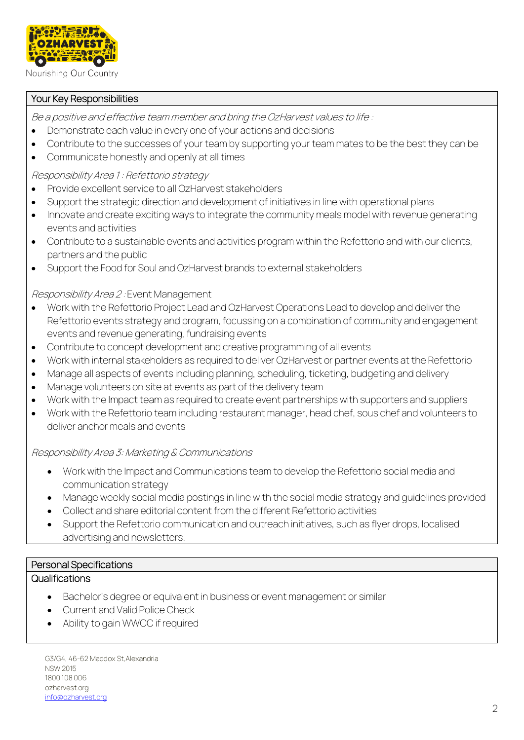

Nourishing Our Country

## Your Key Responsibilities

Be a positive and effective team member and bring the OzHarvest values to life :

- Demonstrate each value in every one of your actions and decisions
- Contribute to the successes of your team by supporting your team mates to be the best they can be
- Communicate honestly and openly at all times

Responsibility Area 1 : Refettorio strategy

- Provide excellent service to all OzHarvest stakeholders
- Support the strategic direction and development of initiatives in line with operational plans
- Innovate and create exciting ways to integrate the community meals model with revenue generating events and activities
- Contribute to a sustainable events and activities program within the Refettorio and with our clients, partners and the public
- Support the Food for Soul and OzHarvest brands to external stakeholders

### Responsibility Area 2 : Event Management

- Work with the Refettorio Project Lead and OzHarvest Operations Lead to develop and deliver the Refettorio events strategy and program, focussing on a combination of community and engagement events and revenue generating, fundraising events
- Contribute to concept development and creative programming of all events
- Work with internal stakeholders as required to deliver OzHarvest or partner events at the Refettorio
- Manage all aspects of events including planning, scheduling, ticketing, budgeting and delivery
- Manage volunteers on site at events as part of the delivery team
- Work with the Impact team as required to create event partnerships with supporters and suppliers
- Work with the Refettorio team including restaurant manager, head chef, sous chef and volunteers to deliver anchor meals and events

### Responsibility Area 3: Marketing & Communications

- Work with the Impact and Communications team to develop the Refettorio social media and communication strategy
- Manage weekly social media postings in line with the social media strategy and guidelines provided
- Collect and share editorial content from the different Refettorio activities
- Support the Refettorio communication and outreach initiatives, such as flyer drops, localised advertising and newsletters.

# Personal Specifications

## **Qualifications**

- Bachelor's degree or equivalent in business or event management or similar
- Current and Valid Police Check
- Ability to gain WWCC if required

G3/G4, 46-62 Maddox St,Alexandria NSW 2015 1800 108 006 ozharvest.org [info@ozharvest.org](mailto:info@ozharvest.org)